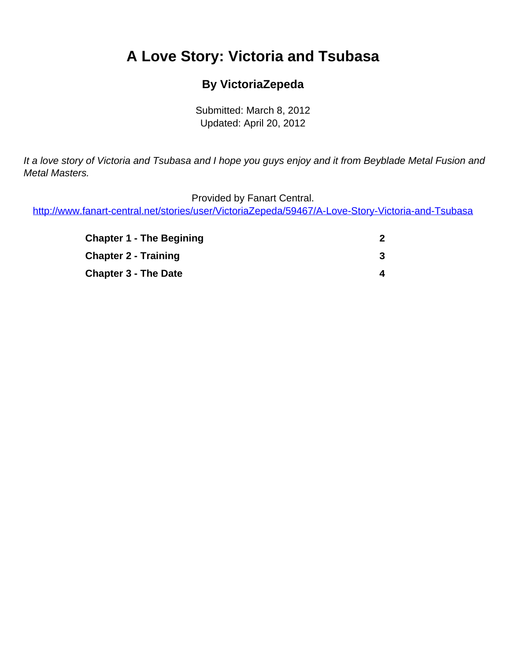# <span id="page-0-0"></span>**A Love Story: Victoria and Tsubasa**

#### **By VictoriaZepeda**

Submitted: March 8, 2012 Updated: April 20, 2012

It a love story of Victoria and Tsubasa and I hope you guys enjoy and it from Beyblade Metal Fusion and Metal Masters.

Provided by Fanart Central.

[http://www.fanart-central.net/stories/user/VictoriaZepeda/59467/A-Love-Story-Victoria-and-Tsubasa](#page-0-0)

| <b>Chapter 1 - The Begining</b> |   |
|---------------------------------|---|
| <b>Chapter 2 - Training</b>     |   |
| <b>Chapter 3 - The Date</b>     | 4 |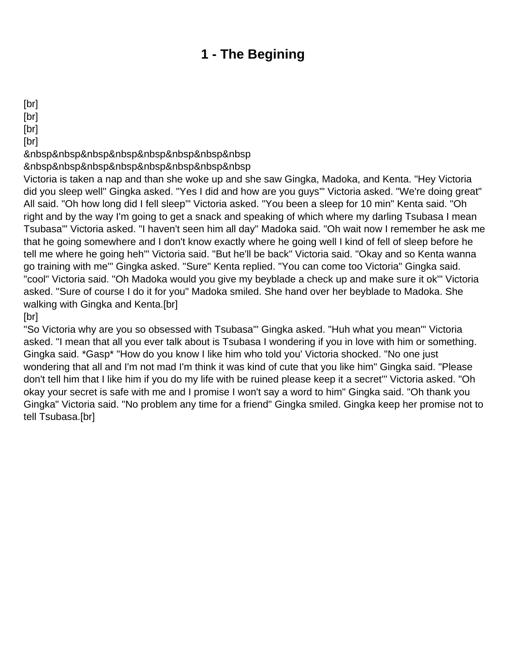## **1 - The Begining**

<span id="page-1-0"></span>[br]

[br]

[br]

[br]

&nbsp&nbsp&nbsp&nbsp&nbsp&nbsp&nbsp&nbsp

&nbsp&nbsp&nbsp&nbsp&nbsp&nbsp&nbsp&nbsp

Victoria is taken a nap and than she woke up and she saw Gingka, Madoka, and Kenta. "Hey Victoria did you sleep well'' Gingka asked. "Yes I did and how are you guys'" Victoria asked. "We're doing great" All said. "Oh how long did I fell sleep'" Victoria asked. "You been a sleep for 10 min" Kenta said. "Oh right and by the way I'm going to get a snack and speaking of which where my darling Tsubasa I mean Tsubasa'" Victoria asked. "I haven't seen him all day" Madoka said. "Oh wait now I remember he ask me that he going somewhere and I don't know exactly where he going well I kind of fell of sleep before he tell me where he going heh'" Victoria said. "But he'll be back" Victoria said. "Okay and so Kenta wanna go training with me'" Gingka asked. "Sure" Kenta replied. "You can come too Victoria" Gingka said. "cool" Victoria said. "Oh Madoka would you give my beyblade a check up and make sure it ok'" Victoria asked. "Sure of course I do it for you" Madoka smiled. She hand over her beyblade to Madoka. She walking with Gingka and Kenta.[br]

[br]

"So Victoria why are you so obsessed with Tsubasa'" Gingka asked. "Huh what you mean'" Victoria asked. "I mean that all you ever talk about is Tsubasa I wondering if you in love with him or something. Gingka said. \*Gasp\* "How do you know I like him who told you' Victoria shocked. "No one just wondering that all and I'm not mad I'm think it was kind of cute that you like him" Gingka said. "Please don't tell him that I like him if you do my life with be ruined please keep it a secret'" Victoria asked. "Oh okay your secret is safe with me and I promise I won't say a word to him" Gingka said. "Oh thank you Gingka" Victoria said. "No problem any time for a friend" Gingka smiled. Gingka keep her promise not to tell Tsubasa.[br]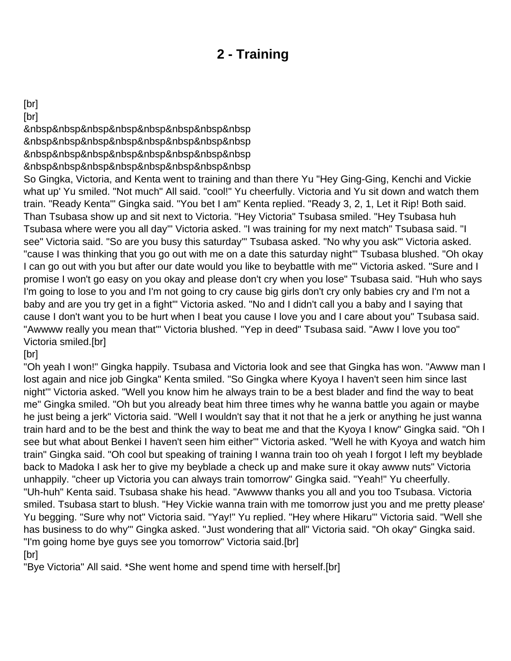## **2 - Training**

#### <span id="page-2-0"></span>[br]

[br]

&nbsp&nbsp&nbsp&nbsp&nbsp&nbsp&nbsp&nbsp

&nbsp&nbsp&nbsp&nbsp&nbsp&nbsp&nbsp&nbsp

&nbsp&nbsp&nbsp&nbsp&nbsp&nbsp&nbsp&nbsp

&nbsp&nbsp&nbsp&nbsp&nbsp&nbsp&nbsp&nbsp

So Gingka, Victoria, and Kenta went to training and than there Yu "Hey Ging-Ging, Kenchi and Vickie what up' Yu smiled. "Not much" All said. "cool!" Yu cheerfully. Victoria and Yu sit down and watch them train. "Ready Kenta'" Gingka said. "You bet I am" Kenta replied. "Ready 3, 2, 1, Let it Rip! Both said. Than Tsubasa show up and sit next to Victoria. "Hey Victoria" Tsubasa smiled. "Hey Tsubasa huh Tsubasa where were you all day'" Victoria asked. "I was training for my next match" Tsubasa said. "I see" Victoria said. "So are you busy this saturday'" Tsubasa asked. "No why you ask'" Victoria asked. "cause I was thinking that you go out with me on a date this saturday night'" Tsubasa blushed. "Oh okay I can go out with you but after our date would you like to beybattle with me'" Victoria asked. "Sure and I promise I won't go easy on you okay and please don't cry when you lose" Tsubasa said. "Huh who says I'm going to lose to you and I'm not going to cry cause big girls don't cry only babies cry and I'm not a baby and are you try get in a fight'" Victoria asked. "No and I didn't call you a baby and I saying that cause I don't want you to be hurt when I beat you cause I love you and I care about you" Tsubasa said. "Awwww really you mean that'" Victoria blushed. "Yep in deed" Tsubasa said. "Aww I love you too" Victoria smiled.[br]

[br]

"Oh yeah I won!" Gingka happily. Tsubasa and Victoria look and see that Gingka has won. "Awww man I lost again and nice job Gingka" Kenta smiled. "So Gingka where Kyoya I haven't seen him since last night'" Victoria asked. "Well you know him he always train to be a best blader and find the way to beat me" Gingka smiled. "Oh but you already beat him three times why he wanna battle you again or maybe he just being a jerk" Victoria said. "Well I wouldn't say that it not that he a jerk or anything he just wanna train hard and to be the best and think the way to beat me and that the Kyoya I know" Gingka said. "Oh I see but what about Benkei I haven't seen him either'" Victoria asked. "Well he with Kyoya and watch him train" Gingka said. "Oh cool but speaking of training I wanna train too oh yeah I forgot I left my beyblade back to Madoka I ask her to give my beyblade a check up and make sure it okay awww nuts" Victoria unhappily. "cheer up Victoria you can always train tomorrow" Gingka said. "Yeah!" Yu cheerfully. "Uh-huh" Kenta said. Tsubasa shake his head. "Awwww thanks you all and you too Tsubasa. Victoria smiled. Tsubasa start to blush. "Hey Vickie wanna train with me tomorrow just you and me pretty please' Yu begging. "Sure why not" Victoria said. "Yay!" Yu replied. "Hey where Hikaru'" Victoria said. "Well she has business to do why'" Gingka asked. "Just wondering that all" Victoria said. "Oh okay" Gingka said. "I'm going home bye guys see you tomorrow" Victoria said.[br]

[br]

"Bye Victoria" All said. \*She went home and spend time with herself.[br]